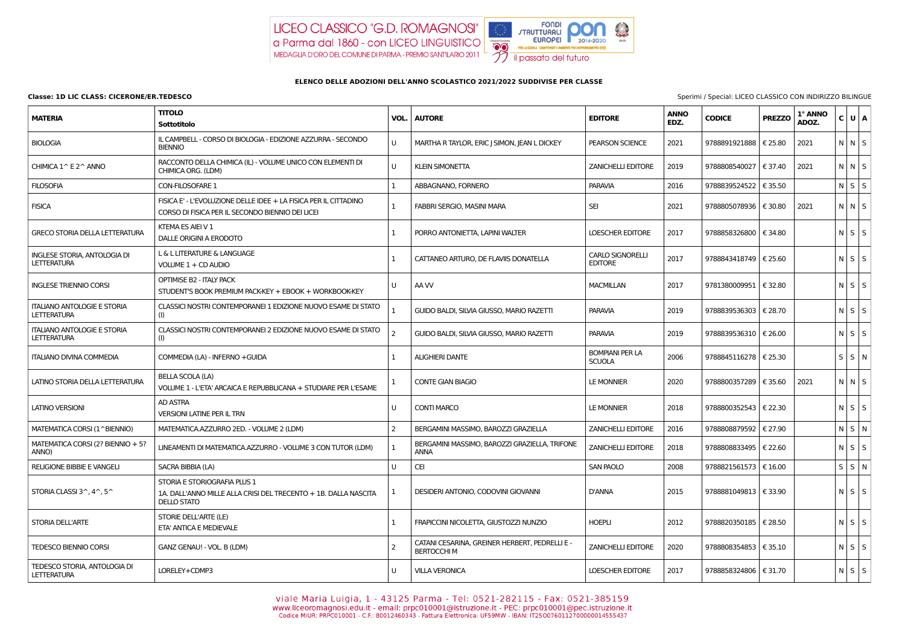

## **ELENCO DELLE ADOZIONI DELL'ANNO SCOLASTICO 2021/2022 SUDDIVISE PER CLASSE**

| <b>MATERIA</b>                                            | <b>TITOLO</b><br>Sottotitolo                                                                                          |                | <b>VOL.   AUTORE</b>                                                 | <b>EDITORE</b>                            | <b>ANNO</b><br>EDZ. | <b>CODICE</b>           | <b>PREZZO</b> | 1° ANNO<br>ADOZ. | C U A                   |  |
|-----------------------------------------------------------|-----------------------------------------------------------------------------------------------------------------------|----------------|----------------------------------------------------------------------|-------------------------------------------|---------------------|-------------------------|---------------|------------------|-------------------------|--|
| <b>BIOLOGIA</b>                                           | IL CAMPBELL - CORSO DI BIOLOGIA - EDIZIONE AZZURRA - SECONDO<br><b>BIENNIO</b>                                        | U              | MARTHA R TAYLOR, ERIC J SIMON, JEAN L DICKEY                         | PEARSON SCIENCE                           | 2021                | 9788891921888   € 25.80 |               | 2021             | $N$ $N$ $S$             |  |
| CHIMICA 1^ E 2^ ANNO                                      | RACCONTO DELLA CHIMICA (IL) - VOLUME UNICO CON ELEMENTI DI<br>CHIMICA ORG. (LDM)                                      | U              | <b>KLEIN SIMONETTA</b>                                               | <b>ZANICHELLI EDITORE</b>                 | 2019                | 9788808540027   € 37.40 |               | 2021             | $N$ $N$ $S$             |  |
| <b>FILOSOFIA</b>                                          | <b>CON-FILOSOFARE 1</b>                                                                                               |                | ABBAGNANO, FORNERO                                                   | <b>PARAVIA</b>                            | 2016                | 9788839524522   € 35.50 |               |                  | $N$ $S$ $S$             |  |
| <b>FISICA</b>                                             | FISICA E' - L'EVOLUZIONE DELLE IDEE + LA FISICA PER IL CITTADINO<br>CORSO DI FISICA PER IL SECONDO BIENNIO DEI LICEI  | $\mathbf{1}$   | FABBRI SERGIO, MASINI MARA                                           | <b>SEI</b>                                | 2021                | 9788805078936   € 30.80 |               | 2021             | $N$ $N$ $S$             |  |
| <b>GRECO STORIA DELLA LETTERATURA</b>                     | KTEMA ES AIEI V 1<br>DALLE ORIGINI A ERODOTO                                                                          |                | PORRO ANTONIETTA, LAPINI WALTER                                      | <b>LOESCHER EDITORE</b>                   | 2017                | 9788858326800   € 34.80 |               |                  | $N$ $S$ $S$             |  |
| <b>INGLESE STORIA, ANTOLOGIA DI</b><br><b>LETTERATURA</b> | L & L LITERATURE & LANGUAGE<br>VOLUME 1 + CD AUDIO                                                                    | $\mathbf{1}$   | CATTANEO ARTURO, DE FLAVIIS DONATELLA                                | <b>CARLO SIGNORELLI</b><br><b>EDITORE</b> | 2017                | 9788843418749   € 25.60 |               |                  | $N$ $S$ $S$             |  |
| <b>INGLESE TRIENNIO CORSI</b>                             | OPTIMISE B2 - ITALY PACK<br>STUDENT'S BOOK PREMIUM PACK-KEY + EBOOK + WORKBOOK-KEY                                    | U              | AA W                                                                 | <b>MACMILLAN</b>                          | 2017                | 9781380009951   € 32.80 |               |                  | $N$ $S$ $S$             |  |
| <b>ITALIANO ANTOLOGIE E STORIA</b><br><b>LETTERATURA</b>  | CLASSICI NOSTRI CONTEMPORANEI 1 EDIZIONE NUOVO ESAME DI STATO                                                         |                | GUIDO BALDI, SILVIA GIUSSO, MARIO RAZETTI                            | <b>PARAVIA</b>                            | 2019                | 9788839536303   € 28.70 |               |                  | $N$ $S$ $S$             |  |
| <b>ITALIANO ANTOLOGIE E STORIA</b><br><b>LETTERATURA</b>  | CLASSICI NOSTRI CONTEMPORANEI 2 EDIZIONE NUOVO ESAME DI STATO<br>(I)                                                  | 2              | GUIDO BALDI, SILVIA GIUSSO, MARIO RAZETTI                            | <b>PARAVIA</b>                            | 2019                | 9788839536310   € 26.00 |               |                  | $N$ $S$ $S$             |  |
| <b>ITALIANO DIVINA COMMEDIA</b>                           | COMMEDIA (LA) - INFERNO + GUIDA                                                                                       | 1              | <b>ALIGHIERI DANTE</b>                                               | <b>BOMPIANI PER LA</b><br><b>SCUOLA</b>   | 2006                | 9788845116278   € 25.30 |               |                  | $S$ S $\vert$ N $\vert$ |  |
| LATINO STORIA DELLA LETTERATURA                           | BELLA SCOLA (LA)<br>VOLUME 1 - L'ETA' ARCAICA E REPUBBLICANA + STUDIARE PER L'ESAME                                   |                | <b>CONTE GIAN BIAGIO</b>                                             | LE MONNIER                                | 2020                | 9788800357289 € 35.60   |               | 2021             | $N$ $N$ $S$             |  |
| <b>LATINO VERSIONI</b>                                    | AD ASTRA<br><b>VERSIONI LATINE PER IL TRN</b>                                                                         | U              | <b>CONTI MARCO</b>                                                   | LE MONNIER                                | 2018                | 9788800352543   € 22.30 |               |                  | $N \mid S \mid S$       |  |
| MATEMATICA CORSI (1^BIENNIO)                              | MATEMATICA.AZZURRO 2ED. - VOLUME 2 (LDM)                                                                              | 2              | BERGAMINI MASSIMO, BAROZZI GRAZIELLA                                 | <b>ZANICHELLI EDITORE</b>                 | 2016                | 9788808879592   € 27.90 |               |                  | $N$ $S$ $N$             |  |
| MATEMATICA CORSI (2? BIENNIO + 5?<br>ANNO)                | LINEAMENTI DI MATEMATICA.AZZURRO - VOLUME 3 CON TUTOR (LDM)                                                           | -1             | BERGAMINI MASSIMO, BAROZZI GRAZIELLA, TRIFONE<br><b>ANNA</b>         | <b>ZANICHELLI EDITORE</b>                 | 2018                | 9788808833495   € 22.60 |               |                  | $N$ $S$ $S$             |  |
| <b>RELIGIONE BIBBIE E VANGELI</b>                         | SACRA BIBBIA (LA)                                                                                                     | U              | <b>CEI</b>                                                           | SAN PAOLO                                 | 2008                | 9788821561573   € 16.00 |               |                  | $S \mid S \mid N$       |  |
| STORIA CLASSI $3^{\wedge}$ , $4^{\wedge}$ , $5^{\wedge}$  | STORIA E STORIOGRAFIA PLUS 1<br>1A. DALL'ANNO MILLE ALLA CRISI DEL TRECENTO + 1B. DALLA NASCITA<br><b>DELLO STATO</b> | 1              | DESIDERI ANTONIO, CODOVINI GIOVANNI                                  | <b>D'ANNA</b>                             | 2015                | 9788881049813   € 33.90 |               |                  | $N$ $S$ $S$             |  |
| <b>STORIA DELL'ARTE</b>                                   | STORIE DELL'ARTE (LE)<br>ETA' ANTICA E MEDIEVALE                                                                      |                | FRAPICCINI NICOLETTA, GIUSTOZZI NUNZIO                               | <b>HOEPLI</b>                             | 2012                | 9788820350185   € 28.50 |               |                  | $N$ $S$ $S$             |  |
| <b>TEDESCO BIENNIO CORSI</b>                              | GANZ GENAU! - VOL. B (LDM)                                                                                            | $\overline{2}$ | CATANI CESARINA, GREINER HERBERT, PEDRELLI E -<br><b>BERTOCCHI M</b> | <b>ZANICHELLI EDITORE</b>                 | 2020                | 9788808354853   € 35.10 |               |                  | $N$ $S$ $S$             |  |
| TEDESCO STORIA, ANTOLOGIA DI<br><b>LETTERATURA</b>        | LORELEY+CDMP3                                                                                                         | U              | <b>VILLA VERONICA</b>                                                | LOESCHER EDITORE                          | 2017                | 9788858324806   € 31.70 |               |                  | $N$ $S$ $S$             |  |

Viale Maria Luigia, 1 - 43125 Parma - Tel: 0521-282115 - Fax: 0521-385159<br>www.liceoromagnosi.edu.it - email: prpc010001@istruzione.it - PEC: prpc010001@pec.istruzione.it<br>Codice MIUR: PRPC010001 - C.F.: 80012460343 - Fattur

**Classe: 1D LIC CLASS: CICERONE/ER.TEDESCO** Sperimi / Special: LICEO CLASSICO CON INDIRIZZO BILINGUE